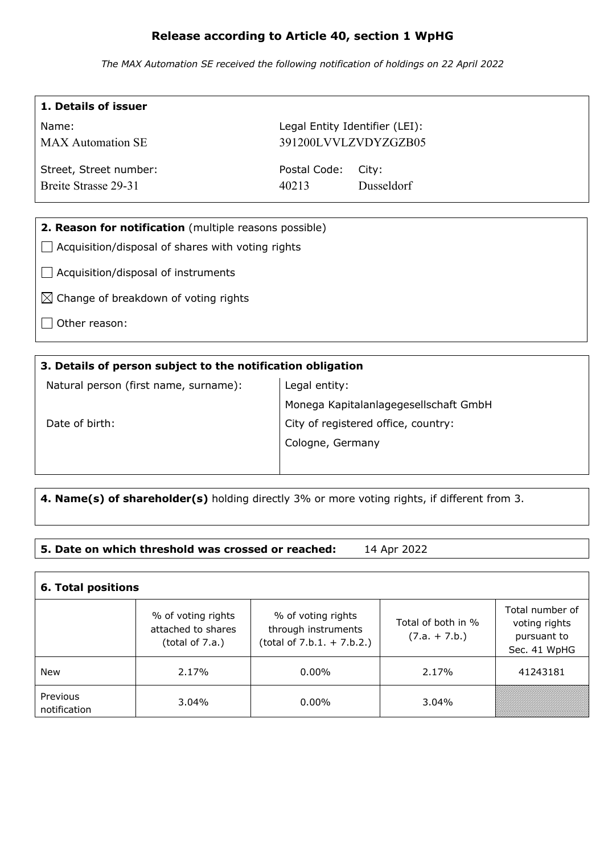# **Release according to Article 40, section 1 WpHG**

*The MAX Automation SE received the following notification of holdings on 22 April 2022*

| 1. Details of issuer                                   |                                |            |  |  |
|--------------------------------------------------------|--------------------------------|------------|--|--|
| Name:                                                  | Legal Entity Identifier (LEI): |            |  |  |
| <b>MAX</b> Automation SE                               | 391200LVVLZVDYZGZB05           |            |  |  |
| Street, Street number:                                 | Postal Code:<br>City:          |            |  |  |
| Breite Strasse 29-31                                   | 40213                          | Dusseldorf |  |  |
|                                                        |                                |            |  |  |
| 2. Reason for notification (multiple reasons possible) |                                |            |  |  |
| Acquisition/disposal of shares with voting rights      |                                |            |  |  |
| Acquisition/disposal of instruments                    |                                |            |  |  |
| $\boxtimes$ Change of breakdown of voting rights       |                                |            |  |  |
| Other reason:                                          |                                |            |  |  |
|                                                        |                                |            |  |  |

### **3. Details of person subject to the notification obligation**

Natural person (first name, surname):

Legal entity: Monega Kapitalanlagegesellschaft GmbH City of registered office, country: Cologne, Germany

Date of birth:

 $\mathbf{I}$ 

**4. Name(s) of shareholder(s)** holding directly 3% or more voting rights, if different from 3.

## **5. Date on which threshold was crossed or reached:** 14 Apr 2022

| <b>6. Total positions</b> |                                                             |                                                                           |                                       |                                                                 |  |  |
|---------------------------|-------------------------------------------------------------|---------------------------------------------------------------------------|---------------------------------------|-----------------------------------------------------------------|--|--|
|                           | % of voting rights<br>attached to shares<br>(total of 7.a.) | % of voting rights<br>through instruments<br>$(total of 7.b.1. + 7.b.2.)$ | Total of both in %<br>$(7.a. + 7.b.)$ | Total number of<br>voting rights<br>pursuant to<br>Sec. 41 WpHG |  |  |
| New                       | 2.17%                                                       | $0.00\%$                                                                  | 2.17%                                 | 41243181                                                        |  |  |
| Previous<br>notification  | $3.04\%$                                                    | $0.00\%$                                                                  | 3.04%                                 |                                                                 |  |  |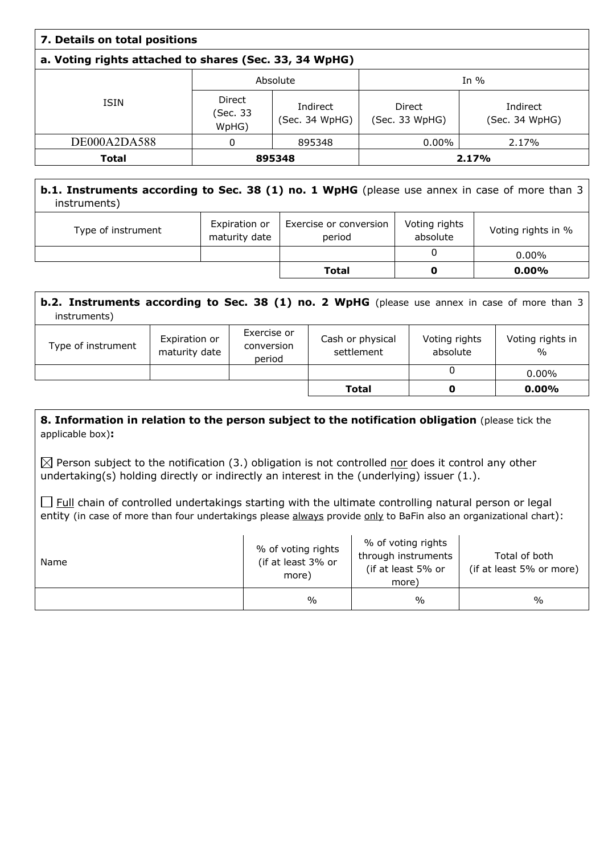| 7. Details on total positions                          |                             |                            |                                 |                            |  |
|--------------------------------------------------------|-----------------------------|----------------------------|---------------------------------|----------------------------|--|
| a. Voting rights attached to shares (Sec. 33, 34 WpHG) |                             |                            |                                 |                            |  |
|                                                        | Absolute                    |                            | In $%$                          |                            |  |
| <b>ISIN</b>                                            | Direct<br>(Sec. 33<br>WpHG) | Indirect<br>(Sec. 34 WpHG) | <b>Direct</b><br>(Sec. 33 WpHG) | Indirect<br>(Sec. 34 WpHG) |  |
| DE000A2DA588                                           | 0                           | 895348                     | $0.00\%$                        | 2.17%                      |  |
| <b>Total</b>                                           | 895348                      |                            | 2.17%                           |                            |  |

## **b.1. Instruments according to Sec. 38 (1) no. 1 WpHG** (please use annex in case of more than 3 instruments)

| Type of instrument | Expiration or<br>maturity date | Exercise or conversion<br>period | Voting rights<br>absolute | Voting rights in % |
|--------------------|--------------------------------|----------------------------------|---------------------------|--------------------|
|                    |                                |                                  |                           | $0.00\%$           |
|                    |                                | <b>Total</b>                     |                           | $0.00\%$           |

| <b>b.2. Instruments according to Sec. 38 (1) no. 2 WpHG</b> (please use annex in case of more than 3<br>instruments) |                                |                                     |                                |                           |                                   |
|----------------------------------------------------------------------------------------------------------------------|--------------------------------|-------------------------------------|--------------------------------|---------------------------|-----------------------------------|
| Type of instrument                                                                                                   | Expiration or<br>maturity date | Exercise or<br>conversion<br>period | Cash or physical<br>settlement | Voting rights<br>absolute | Voting rights in<br>$\frac{0}{0}$ |
|                                                                                                                      |                                |                                     |                                | 0                         | $0.00\%$                          |
|                                                                                                                      |                                |                                     | Total                          | O                         | $0.00\%$                          |

### **8. Information in relation to the person subject to the notification obligation (please tick the** applicable box)**:**

 $\boxtimes$  Person subject to the notification (3.) obligation is not controlled nor does it control any other undertaking(s) holding directly or indirectly an interest in the (underlying) issuer (1.).

 $\Box$  Full chain of controlled undertakings starting with the ultimate controlling natural person or legal entity (in case of more than four undertakings please always provide only to BaFin also an organizational chart):

| Name | % of voting rights<br>(if at least 3% or<br>more) | % of voting rights<br>through instruments<br>(if at least 5% or<br>more) | Total of both<br>(if at least 5% or more) |
|------|---------------------------------------------------|--------------------------------------------------------------------------|-------------------------------------------|
|      | $\%$                                              | $\frac{0}{0}$                                                            | $\frac{0}{0}$                             |